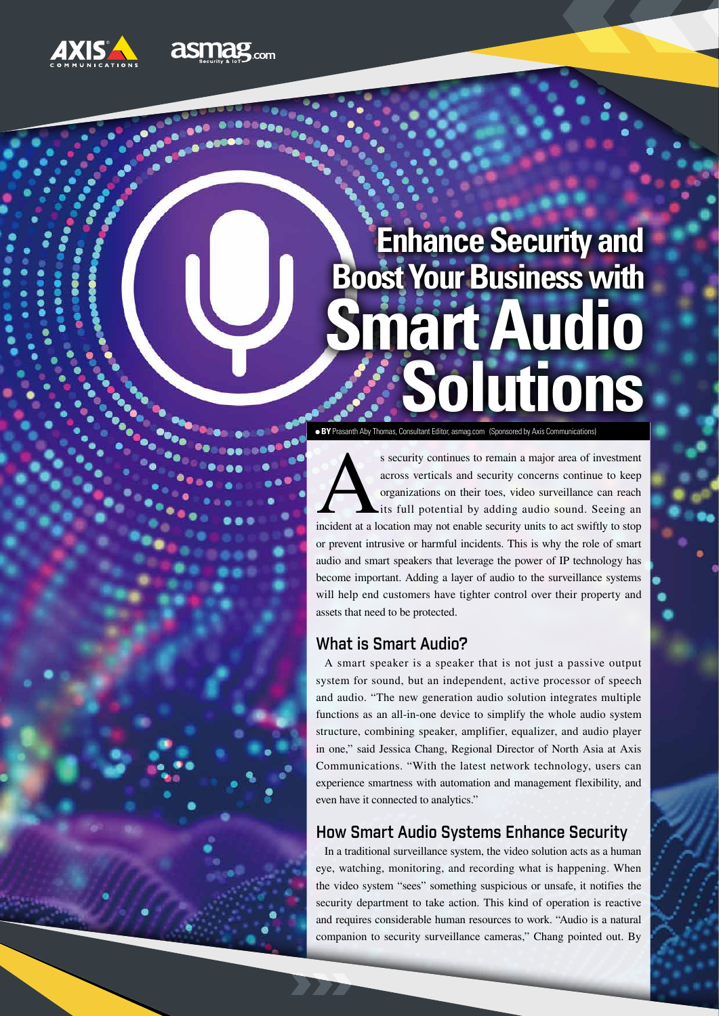

# **Boost Your Business with Enhance Security and Solutions Smart Audio**

**BY** Prasanth Aby Thomas, Consultant Editor, asmag.com (Sponsored by Axis Communications)

s security continues to remain a major area of investment<br>across verticals and security concerns continue to keep<br>organizations on their toes, video surveillance can reach<br>its full potential by adding audio sound. Seeing a across verticals and security concerns continue to keep organizations on their toes, video surveillance can reach its full potential by adding audio sound. Seeing an or prevent intrusive or harmful incidents. This is why the role of smart audio and smart speakers that leverage the power of IP technology has become important. Adding a layer of audio to the surveillance systems will help end customers have tighter control over their property and assets that need to be protected.

## What is Smart Audio?

A smart speaker is a speaker that is not just a passive output system for sound, but an independent, active processor of speech and audio. "The new generation audio solution integrates multiple functions as an all-in-one device to simplify the whole audio system structure, combining speaker, amplifier, equalizer, and audio player in one," said Jessica Chang, Regional Director of North Asia at Axis Communications. "With the latest network technology, users can experience smartness with automation and management flexibility, and even have it connected to analytics."

## How Smart Audio Systems Enhance Security

In a traditional surveillance system, the video solution acts as a human eye, watching, monitoring, and recording what is happening. When the video system "sees" something suspicious or unsafe, it notifies the security department to take action. This kind of operation is reactive and requires considerable human resources to work. "Audio is a natural companion to security surveillance cameras," Chang pointed out. By